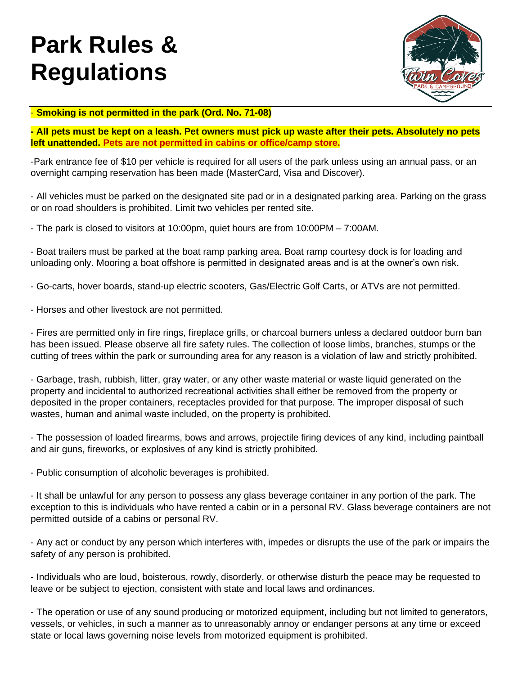# **Park Rules & Regulations**



#### - **Smoking is not permitted in the park (Ord. No. 71-08)**

**- All pets must be kept on a leash. Pet owners must pick up waste after their pets. Absolutely no pets left unattended. Pets are not permitted in cabins or office/camp store.**

-Park entrance fee of \$10 per vehicle is required for all users of the park unless using an annual pass, or an overnight camping reservation has been made (MasterCard, Visa and Discover).

- All vehicles must be parked on the designated site pad or in a designated parking area. Parking on the grass or on road shoulders is prohibited. Limit two vehicles per rented site.

- The park is closed to visitors at 10:00pm, quiet hours are from 10:00PM – 7:00AM.

- Boat trailers must be parked at the boat ramp parking area. Boat ramp courtesy dock is for loading and unloading only. Mooring a boat offshore is permitted in designated areas and is at the owner's own risk.

- Go-carts, hover boards, stand-up electric scooters, Gas/Electric Golf Carts, or ATVs are not permitted.

- Horses and other livestock are not permitted.

- Fires are permitted only in fire rings, fireplace grills, or charcoal burners unless a declared outdoor burn ban has been issued. Please observe all fire safety rules. The collection of loose limbs, branches, stumps or the cutting of trees within the park or surrounding area for any reason is a violation of law and strictly prohibited.

- Garbage, trash, rubbish, litter, gray water, or any other waste material or waste liquid generated on the property and incidental to authorized recreational activities shall either be removed from the property or deposited in the proper containers, receptacles provided for that purpose. The improper disposal of such wastes, human and animal waste included, on the property is prohibited.

- The possession of loaded firearms, bows and arrows, projectile firing devices of any kind, including paintball and air guns, fireworks, or explosives of any kind is strictly prohibited.

- Public consumption of alcoholic beverages is prohibited.

- It shall be unlawful for any person to possess any glass beverage container in any portion of the park. The exception to this is individuals who have rented a cabin or in a personal RV. Glass beverage containers are not permitted outside of a cabins or personal RV.

- Any act or conduct by any person which interferes with, impedes or disrupts the use of the park or impairs the safety of any person is prohibited.

- Individuals who are loud, boisterous, rowdy, disorderly, or otherwise disturb the peace may be requested to leave or be subject to ejection, consistent with state and local laws and ordinances.

- The operation or use of any sound producing or motorized equipment, including but not limited to generators, vessels, or vehicles, in such a manner as to unreasonably annoy or endanger persons at any time or exceed state or local laws governing noise levels from motorized equipment is prohibited.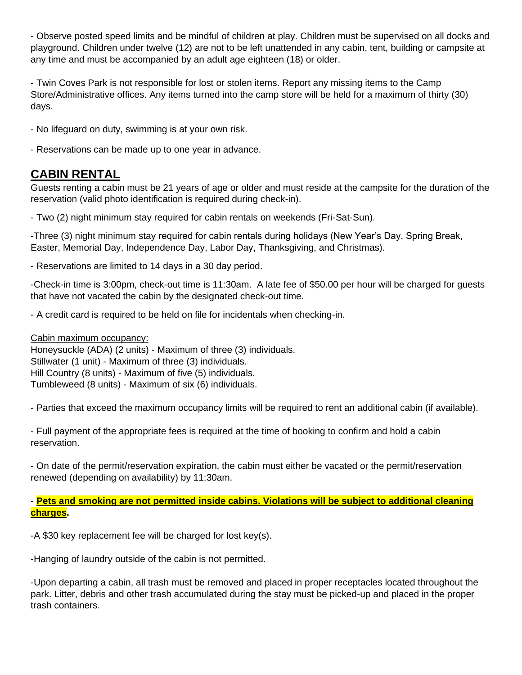- Observe posted speed limits and be mindful of children at play. Children must be supervised on all docks and playground. Children under twelve (12) are not to be left unattended in any cabin, tent, building or campsite at any time and must be accompanied by an adult age eighteen (18) or older.

- Twin Coves Park is not responsible for lost or stolen items. Report any missing items to the Camp Store/Administrative offices. Any items turned into the camp store will be held for a maximum of thirty (30) days.

- No lifeguard on duty, swimming is at your own risk.
- Reservations can be made up to one year in advance.

## **CABIN RENTAL**

Guests renting a cabin must be 21 years of age or older and must reside at the campsite for the duration of the reservation (valid photo identification is required during check-in).

- Two (2) night minimum stay required for cabin rentals on weekends (Fri-Sat-Sun).

-Three (3) night minimum stay required for cabin rentals during holidays (New Year's Day, Spring Break, Easter, Memorial Day, Independence Day, Labor Day, Thanksgiving, and Christmas).

- Reservations are limited to 14 days in a 30 day period.

-Check-in time is 3:00pm, check-out time is 11:30am. A late fee of \$50.00 per hour will be charged for guests that have not vacated the cabin by the designated check-out time.

- A credit card is required to be held on file for incidentals when checking-in.

#### Cabin maximum occupancy:

Honeysuckle (ADA) (2 units) - Maximum of three (3) individuals. Stillwater (1 unit) - Maximum of three (3) individuals. Hill Country (8 units) - Maximum of five (5) individuals. Tumbleweed (8 units) - Maximum of six (6) individuals.

- Parties that exceed the maximum occupancy limits will be required to rent an additional cabin (if available).

- Full payment of the appropriate fees is required at the time of booking to confirm and hold a cabin reservation.

- On date of the permit/reservation expiration, the cabin must either be vacated or the permit/reservation renewed (depending on availability) by 11:30am.

- **Pets and smoking are not permitted inside cabins. Violations will be subject to additional cleaning charges.**

-A \$30 key replacement fee will be charged for lost key(s).

-Hanging of laundry outside of the cabin is not permitted.

-Upon departing a cabin, all trash must be removed and placed in proper receptacles located throughout the park. Litter, debris and other trash accumulated during the stay must be picked-up and placed in the proper trash containers.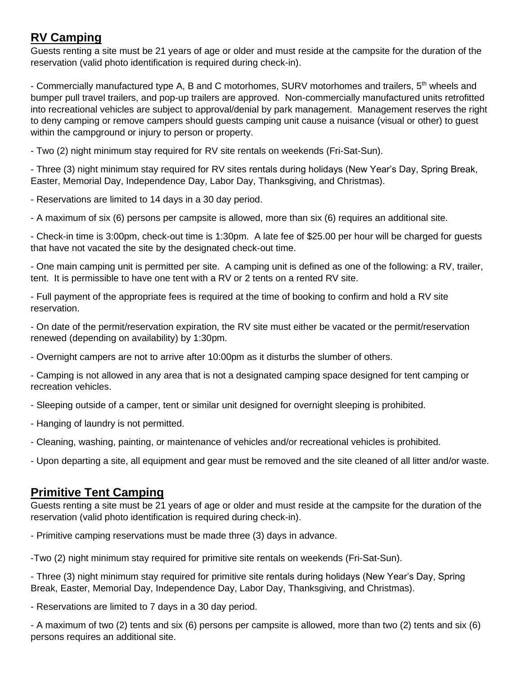# **RV Camping**

Guests renting a site must be 21 years of age or older and must reside at the campsite for the duration of the reservation (valid photo identification is required during check-in).

- Commercially manufactured type A, B and C motorhomes, SURV motorhomes and trailers, 5<sup>th</sup> wheels and bumper pull travel trailers, and pop-up trailers are approved. Non-commercially manufactured units retrofitted into recreational vehicles are subject to approval/denial by park management. Management reserves the right to deny camping or remove campers should guests camping unit cause a nuisance (visual or other) to guest within the campground or injury to person or property.

- Two (2) night minimum stay required for RV site rentals on weekends (Fri-Sat-Sun).

- Three (3) night minimum stay required for RV sites rentals during holidays (New Year's Day, Spring Break, Easter, Memorial Day, Independence Day, Labor Day, Thanksgiving, and Christmas).

- Reservations are limited to 14 days in a 30 day period.

- A maximum of six (6) persons per campsite is allowed, more than six (6) requires an additional site.

- Check-in time is 3:00pm, check-out time is 1:30pm. A late fee of \$25.00 per hour will be charged for guests that have not vacated the site by the designated check-out time.

- One main camping unit is permitted per site. A camping unit is defined as one of the following: a RV, trailer, tent. It is permissible to have one tent with a RV or 2 tents on a rented RV site.

- Full payment of the appropriate fees is required at the time of booking to confirm and hold a RV site reservation.

- On date of the permit/reservation expiration, the RV site must either be vacated or the permit/reservation renewed (depending on availability) by 1:30pm.

- Overnight campers are not to arrive after 10:00pm as it disturbs the slumber of others.

- Camping is not allowed in any area that is not a designated camping space designed for tent camping or recreation vehicles.

- Sleeping outside of a camper, tent or similar unit designed for overnight sleeping is prohibited.

- Hanging of laundry is not permitted.

- Cleaning, washing, painting, or maintenance of vehicles and/or recreational vehicles is prohibited.

- Upon departing a site, all equipment and gear must be removed and the site cleaned of all litter and/or waste.

### **Primitive Tent Camping**

Guests renting a site must be 21 years of age or older and must reside at the campsite for the duration of the reservation (valid photo identification is required during check-in).

- Primitive camping reservations must be made three (3) days in advance.

-Two (2) night minimum stay required for primitive site rentals on weekends (Fri-Sat-Sun).

- Three (3) night minimum stay required for primitive site rentals during holidays (New Year's Day, Spring Break, Easter, Memorial Day, Independence Day, Labor Day, Thanksgiving, and Christmas).

- Reservations are limited to 7 days in a 30 day period.

- A maximum of two (2) tents and six (6) persons per campsite is allowed, more than two (2) tents and six (6) persons requires an additional site.